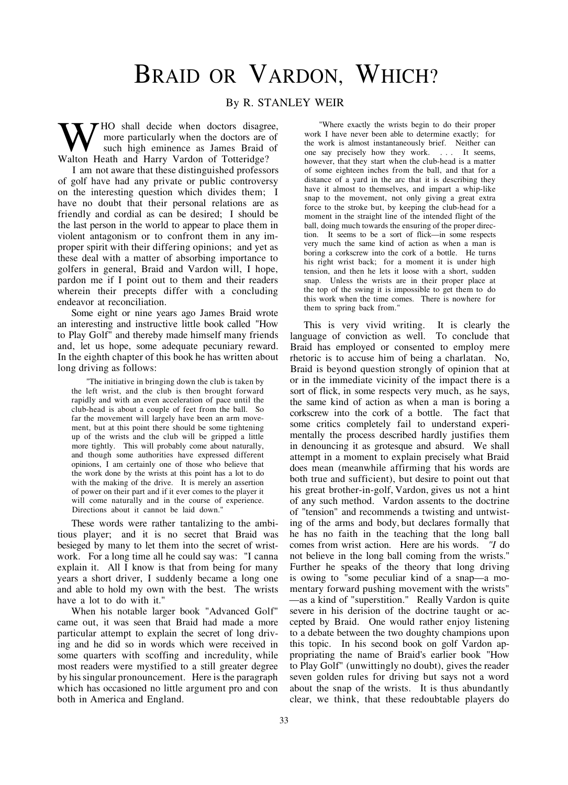## BRAID OR VARDON, WHICH?

## By R. STANLEY WEIR

 $\blacktriangledown$  HO shall decide when doctors disagree, more particularly when the doctors are of such high eminence as James Braid of Walton Heath and Harry Vardon of Totteridge?

I am not aware that these distinguished professors of golf have had any private or public controversy on the interesting question which divides them; I have no doubt that their personal relations are as friendly and cordial as can be desired; I should be the last person in the world to appear to place them in violent antagonism or to confront them in any improper spirit with their differing opinions; and yet as these deal with a matter of absorbing importance to golfers in general, Braid and Vardon will, I hope, pardon me if I point out to them and their readers wherein their precepts differ with a concluding endeavor at reconciliation.

Some eight or nine years ago James Braid wrote an interesting and instructive little book called "How to Play Golf" and thereby made himself many friends and, let us hope, some adequate pecuniary reward. In the eighth chapter of this book he has written about long driving as follows:

"The initiative in bringing down the club is taken by the left wrist, and the club is then brought forward rapidly and with an even acceleration of pace until the club-head is about a couple of feet from the ball. So far the movement will largely have been an arm movement, but at this point there should be some tightening up of the wrists and the club will be gripped a little more tightly. This will probably come about naturally, and though some authorities have expressed different opinions, I am certainly one of those who believe that the work done by the wrists at this point has a lot to do with the making of the drive. It is merely an assertion of power on their part and if it ever comes to the player it will come naturally and in the course of experience. Directions about it cannot be laid down."

These words were rather tantalizing to the ambitious player; and it is no secret that Braid was besieged by many to let them into the secret of wristwork. For a long time all he could say was: "I canna explain it. All I know is that from being for many years a short driver, I suddenly became a long one and able to hold my own with the best. The wrists have a lot to do with it."

When his notable larger book "Advanced Golf" came out, it was seen that Braid had made a more particular attempt to explain the secret of long driving and he did so in words which were received in some quarters with scoffing and incredulity, while most readers were mystified to a still greater degree by his singular pronouncement. Here is the paragraph which has occasioned no little argument pro and con both in America and England.

"Where exactly the wrists begin to do their proper work I have never been able to determine exactly; for the work is almost instantaneously brief. Neither can one say precisely how they work. .. . It seems, however, that they start when the club-head is a matter of some eighteen inches from the ball, and that for a distance of a yard in the arc that it is describing they have it almost to themselves, and impart a whip-like snap to the movement, not only giving a great extra force to the stroke but, by keeping the club-head for a moment in the straight line of the intended flight of the ball, doing much towards the ensuring of the proper direction. It seems to be a sort of flick—in some respects very much the same kind of action as when a man is boring a corkscrew into the cork of a bottle. He turns his right wrist back; for a moment it is under high tension, and then he lets it loose with a short, sudden snap. Unless the wrists are in their proper place at the top of the swing it is impossible to get them to do this work when the time comes. There is nowhere for them to spring back from."

This is very vivid writing. It is clearly the language of conviction as well. To conclude that Braid has employed or consented to employ mere rhetoric is to accuse him of being a charlatan. No, Braid is beyond question strongly of opinion that at or in the immediate vicinity of the impact there is a sort of flick, in some respects very much, as he says, the same kind of action as when a man is boring a corkscrew into the cork of a bottle. The fact that some critics completely fail to understand experimentally the process described hardly justifies them in denouncing it as grotesque and absurd. We shall attempt in a moment to explain precisely what Braid does mean (meanwhile affirming that his words are both true and sufficient), but desire to point out that his great brother-in-golf, Vardon, gives us not a hint of any such method. Vardon assents to the doctrine of "tension" and recommends a twisting and untwisting of the arms and body, but declares formally that he has no faith in the teaching that the long ball comes from wrist action. Here are his words. *"I* do not believe in the long ball coming from the wrists." Further he speaks of the theory that long driving is owing to "some peculiar kind of a snap—a momentary forward pushing movement with the wrists" —as a kind of "superstition." Really Vardon is quite severe in his derision of the doctrine taught or accepted by Braid. One would rather enjoy listening to a debate between the two doughty champions upon this topic. In his second book on golf Vardon appropriating the name of Braid's earlier book "How to Play Golf" (unwittingly no doubt), gives the reader seven golden rules for driving but says not a word about the snap of the wrists. It is thus abundantly clear, we think, that these redoubtable players do